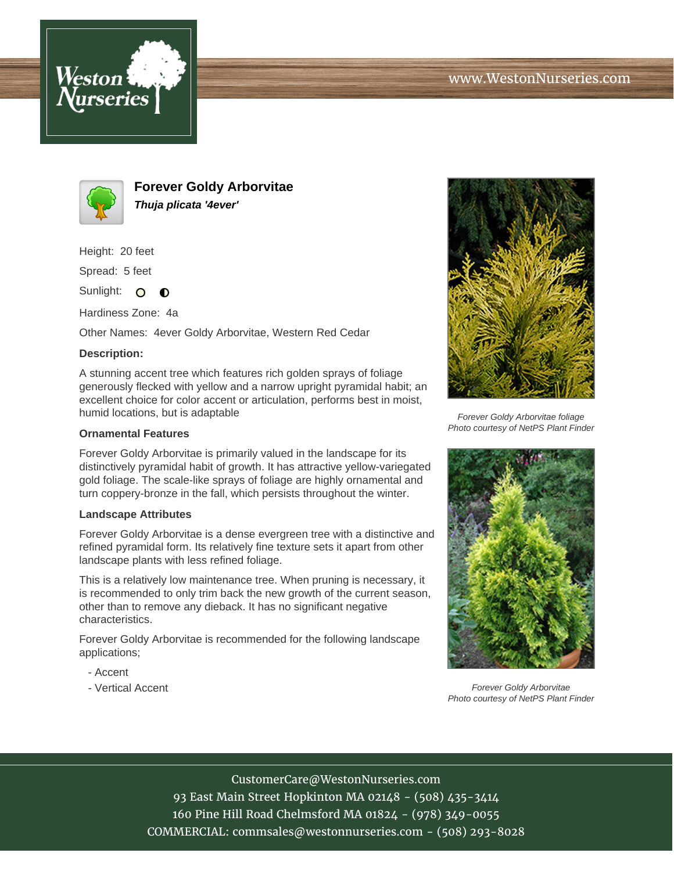



**Forever Goldy Arborvitae Thuja plicata '4ever'**

Height: 20 feet

Spread: 5 feet

Sunlight: O **O** 

Hardiness Zone: 4a

Other Names: 4ever Goldy Arborvitae, Western Red Cedar

## **Description:**

A stunning accent tree which features rich golden sprays of foliage generously flecked with yellow and a narrow upright pyramidal habit; an excellent choice for color accent or articulation, performs best in moist, humid locations, but is adaptable

## **Ornamental Features**

Forever Goldy Arborvitae is primarily valued in the landscape for its distinctively pyramidal habit of growth. It has attractive yellow-variegated gold foliage. The scale-like sprays of foliage are highly ornamental and turn coppery-bronze in the fall, which persists throughout the winter.

## **Landscape Attributes**

Forever Goldy Arborvitae is a dense evergreen tree with a distinctive and refined pyramidal form. Its relatively fine texture sets it apart from other landscape plants with less refined foliage.

This is a relatively low maintenance tree. When pruning is necessary, it is recommended to only trim back the new growth of the current season, other than to remove any dieback. It has no significant negative characteristics.

Forever Goldy Arborvitae is recommended for the following landscape applications;

- Accent
- Vertical Accent



Forever Goldy Arborvitae foliage Photo courtesy of NetPS Plant Finder



Forever Goldy Arborvitae Photo courtesy of NetPS Plant Finder

CustomerCare@WestonNurseries.com

93 East Main Street Hopkinton MA 02148 - (508) 435-3414 160 Pine Hill Road Chelmsford MA 01824 - (978) 349-0055 COMMERCIAL: commsales@westonnurseries.com - (508) 293-8028